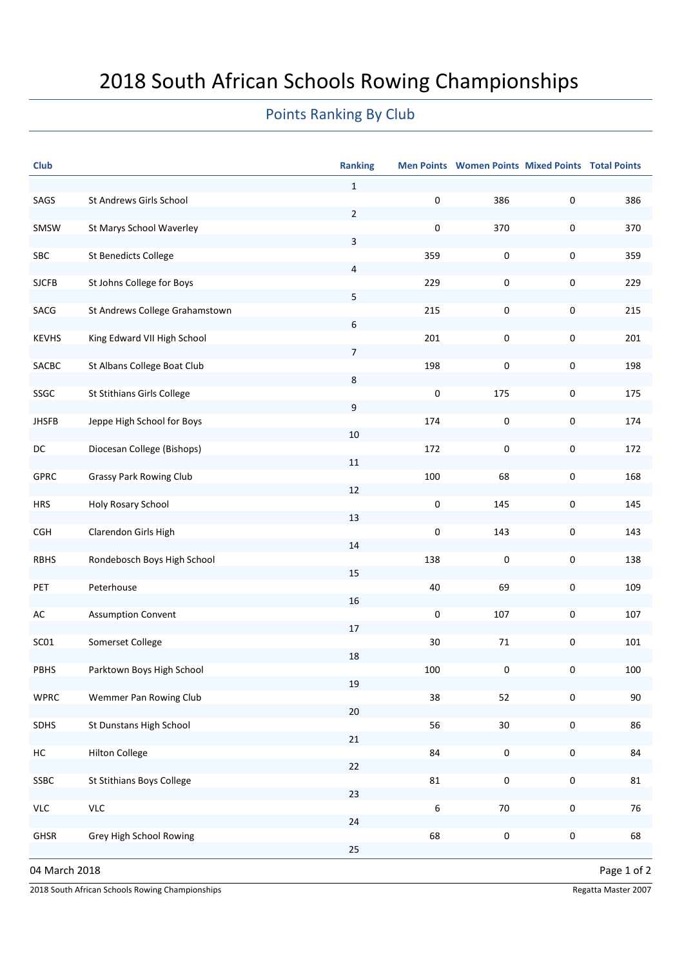## 2018 South African Schools Rowing Championships

## Points Ranking By Club

| <b>Club</b>                  |                                | <b>Ranking</b> |           | Men Points Women Points Mixed Points Total Points |           |     |  |  |  |
|------------------------------|--------------------------------|----------------|-----------|---------------------------------------------------|-----------|-----|--|--|--|
|                              |                                | $\mathbf{1}$   |           |                                                   |           |     |  |  |  |
| SAGS                         | St Andrews Girls School        | $\overline{2}$ | $\pmb{0}$ | 386                                               | $\pmb{0}$ | 386 |  |  |  |
| SMSW                         | St Marys School Waverley       |                | 0         | 370                                               | $\pmb{0}$ | 370 |  |  |  |
| SBC                          | <b>St Benedicts College</b>    | 3              | 359       | $\pmb{0}$                                         | $\pmb{0}$ | 359 |  |  |  |
|                              |                                | 4              |           |                                                   |           |     |  |  |  |
| <b>SJCFB</b>                 | St Johns College for Boys      |                | 229       | $\pmb{0}$                                         | $\pmb{0}$ | 229 |  |  |  |
| SACG                         | St Andrews College Grahamstown | 5              | 215       | $\pmb{0}$                                         | $\pmb{0}$ | 215 |  |  |  |
|                              |                                | 6              |           |                                                   |           |     |  |  |  |
| <b>KEVHS</b>                 | King Edward VII High School    | $\overline{7}$ | 201       | $\pmb{0}$                                         | $\pmb{0}$ | 201 |  |  |  |
| SACBC                        | St Albans College Boat Club    |                | 198       | $\pmb{0}$                                         | $\pmb{0}$ | 198 |  |  |  |
| SSGC                         | St Stithians Girls College     | 8              | 0         | 175                                               | $\pmb{0}$ | 175 |  |  |  |
|                              |                                | 9              |           |                                                   |           |     |  |  |  |
| <b>JHSFB</b>                 | Jeppe High School for Boys     |                | 174       | $\pmb{0}$                                         | $\pmb{0}$ | 174 |  |  |  |
| DC                           | Diocesan College (Bishops)     | $10\,$         | 172       | $\pmb{0}$                                         | 0         | 172 |  |  |  |
|                              |                                | $11\,$         |           |                                                   |           |     |  |  |  |
| <b>GPRC</b>                  | <b>Grassy Park Rowing Club</b> | 12             | 100       | 68                                                | 0         | 168 |  |  |  |
| <b>HRS</b>                   | Holy Rosary School             |                | 0         | 145                                               | 0         | 145 |  |  |  |
|                              |                                | 13             |           |                                                   |           |     |  |  |  |
| <b>CGH</b>                   | Clarendon Girls High           | $14\,$         | $\pmb{0}$ | 143                                               | 0         | 143 |  |  |  |
| <b>RBHS</b>                  | Rondebosch Boys High School    |                | 138       | $\pmb{0}$                                         | 0         | 138 |  |  |  |
|                              |                                | 15             | 40        | 69                                                |           |     |  |  |  |
| PET                          | Peterhouse                     | 16             |           |                                                   | 0         | 109 |  |  |  |
| AC                           | <b>Assumption Convent</b>      |                | 0         | 107                                               | 0         | 107 |  |  |  |
| SC01                         | Somerset College               | $17\,$         | 30        | 71                                                | 0         | 101 |  |  |  |
|                              |                                | 18             |           |                                                   |           |     |  |  |  |
| PBHS                         | Parktown Boys High School      | 19             | 100       | 0                                                 | $\pmb{0}$ | 100 |  |  |  |
| <b>WPRC</b>                  | Wemmer Pan Rowing Club         |                | 38        | 52                                                | $\pmb{0}$ | 90  |  |  |  |
|                              |                                | 20             |           |                                                   |           |     |  |  |  |
| SDHS                         | St Dunstans High School        | 21             | 56        | $30\,$                                            | $\pmb{0}$ | 86  |  |  |  |
| HC                           | <b>Hilton College</b>          |                | 84        | $\pmb{0}$                                         | $\pmb{0}$ | 84  |  |  |  |
|                              |                                | 22             |           |                                                   |           |     |  |  |  |
| SSBC                         | St Stithians Boys College      | 23             | 81        | $\pmb{0}$                                         | $\pmb{0}$ | 81  |  |  |  |
| <b>VLC</b>                   | VLC                            |                | 6         | 70                                                | $\pmb{0}$ | 76  |  |  |  |
| GHSR                         | Grey High School Rowing        | 24             | 68        | $\pmb{0}$                                         | $\pmb{0}$ | 68  |  |  |  |
|                              |                                | 25             |           |                                                   |           |     |  |  |  |
| Page 1 of 2<br>04 March 2018 |                                |                |           |                                                   |           |     |  |  |  |

2018 South African Schools Rowing Championships **Regatta Master 2007** Regatta Master 2007